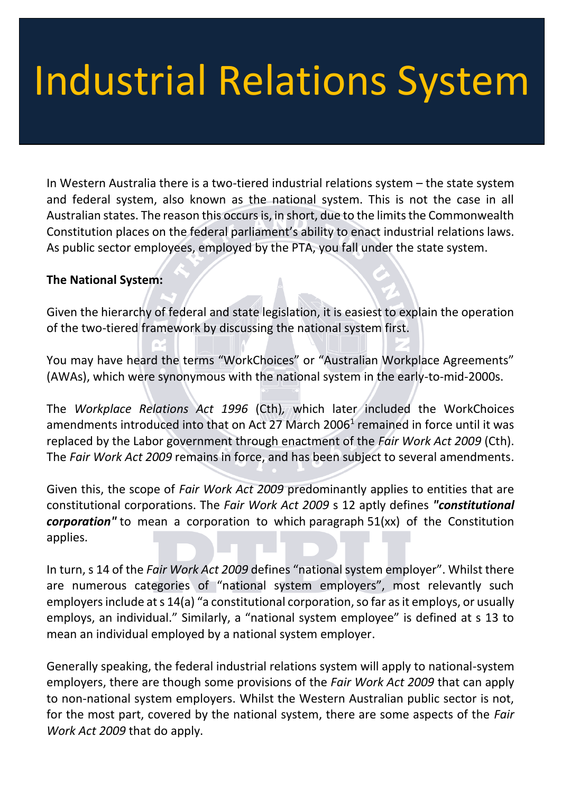# Industrial Relations System

In Western Australia there is a two-tiered industrial relations system – the state system and federal system, also known as the national system. This is not the case in all Australian states. The reason this occurs is, in short, due to the limits the Commonwealth Constitution places on the federal parliament's ability to enact industrial relations laws. As public sector employees, employed by the PTA, you fall under the state system.

#### **The National System:**

Given the hierarchy of federal and state legislation, it is easiest to explain the operation of the two-tiered framework by discussing the national system first.

You may have heard the terms "WorkChoices" or "Australian Workplace Agreements" (AWAs), which were synonymous with the national system in the early-to-mid-2000s.

The *Workplace Relations Act 1996* (Cth)*,* which later included the WorkChoices amendments introduced into that on Act 27 March 2006<sup>1</sup> remained in force until it was replaced by the Labor government through enactment of the *Fair Work Act 2009* (Cth). The *Fair Work Act 2009* remains in force, and has been subject to several amendments.

Given this, the scope of *Fair Work Act 2009* predominantly applies to entities that are constitutional corporations. The *Fair Work Act 2009* s 12 aptly defines *"constitutional corporation"* to mean a corporation to which paragraph 51(xx) of the Constitution applies.

In turn, s 14 of the *Fair Work Act 2009* defines "national system employer". Whilst there are numerous categories of "national system employers", most relevantly such employers include at s 14(a) "a constitutional corporation, so far as it employs, or usually employs, an individual." Similarly, a "national system employee" is defined at s 13 to mean an individual employed by a national system employer.

Generally speaking, the federal industrial relations system will apply to national-system employers, there are though some provisions of the *Fair Work Act 2009* that can apply to non-national system employers. Whilst the Western Australian public sector is not, for the most part, covered by the national system, there are some aspects of the *Fair Work Act 2009* that do apply.